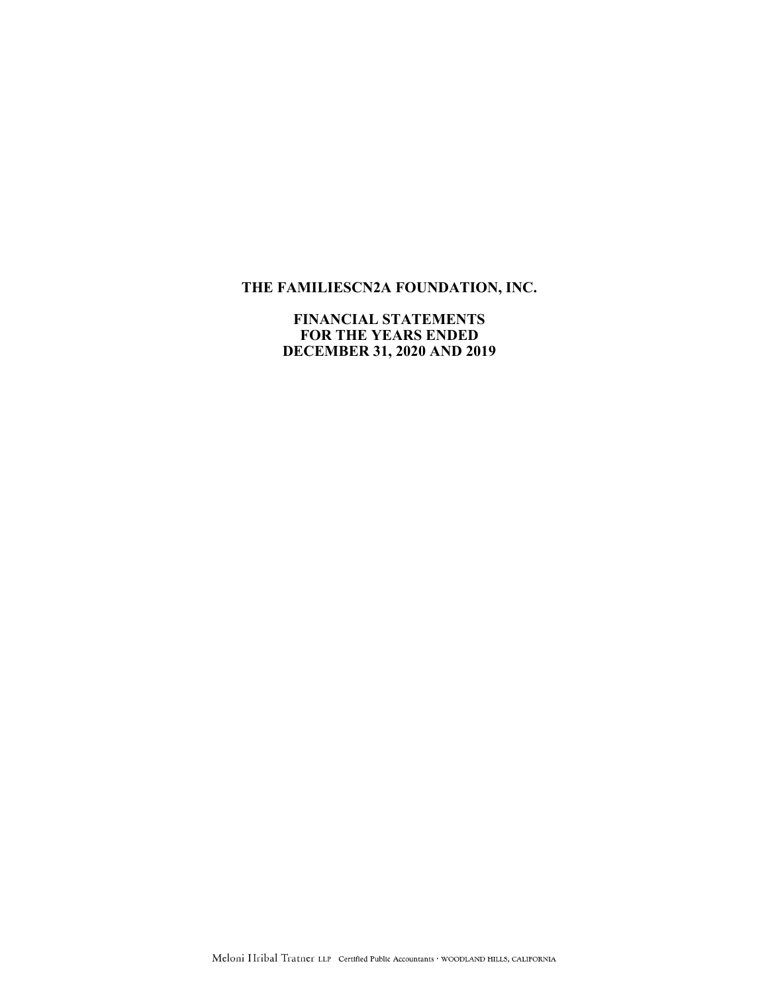# **THE FAMILIESCN2A FOUNDATION, INC.**

**FINANCIAL STATEMENTS FOR THE YEARS ENDED DECEMBER 31, 2020 AND 2019**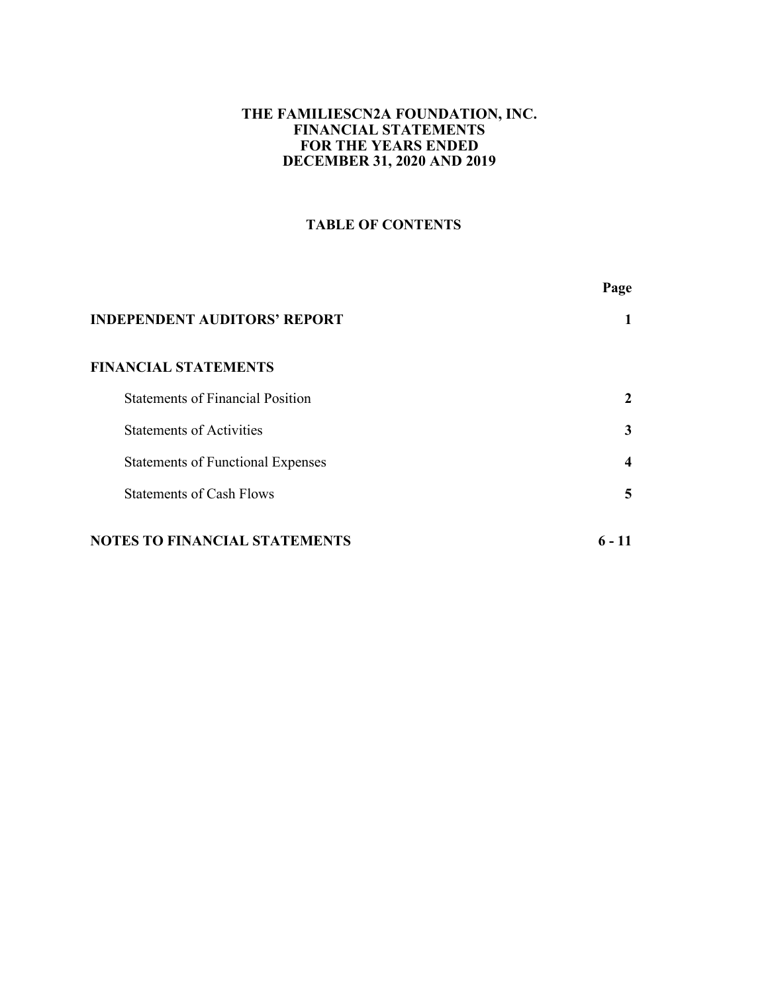## **THE FAMILIESCN2A FOUNDATION, INC. FINANCIAL STATEMENTS FOR THE YEARS ENDED DECEMBER 31, 2020 AND 2019**

# **TABLE OF CONTENTS**

|                                          | Page             |
|------------------------------------------|------------------|
| <b>INDEPENDENT AUDITORS' REPORT</b>      |                  |
| <b>FINANCIAL STATEMENTS</b>              |                  |
| <b>Statements of Financial Position</b>  | 2                |
| <b>Statements of Activities</b>          | 3                |
| <b>Statements of Functional Expenses</b> | $\boldsymbol{4}$ |
| <b>Statements of Cash Flows</b>          | 5                |
| NOTES TO FINANCIAL STATEMENTS            | 6 -<br>11        |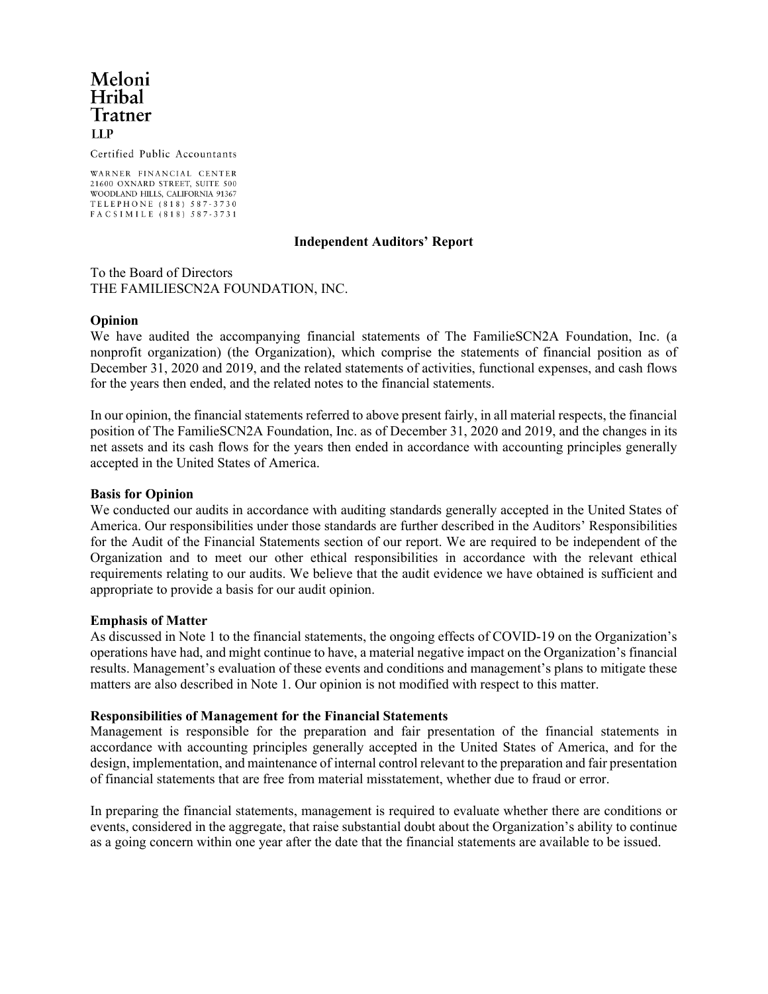

Certified Public Accountants

WARNER FINANCIAL CENTER 21600 OXNARD STREET, SUITE 500 WOODLAND HILLS, CALIFORNIA 91367  $\verb|TELEPHONE (818) 587-3730|$  ${\tt FACSIMILE \ (818) \ 587-3731}$ 

#### **Independent Auditors' Report**

To the Board of Directors THE FAMILIESCN2A FOUNDATION, INC.

#### **Opinion**

We have audited the accompanying financial statements of The FamilieSCN2A Foundation, Inc. (a nonprofit organization) (the Organization), which comprise the statements of financial position as of December 31, 2020 and 2019, and the related statements of activities, functional expenses, and cash flows for the years then ended, and the related notes to the financial statements.

In our opinion, the financial statements referred to above present fairly, in all material respects, the financial position of The FamilieSCN2A Foundation, Inc. as of December 31, 2020 and 2019, and the changes in its net assets and its cash flows for the years then ended in accordance with accounting principles generally accepted in the United States of America.

#### **Basis for Opinion**

We conducted our audits in accordance with auditing standards generally accepted in the United States of America. Our responsibilities under those standards are further described in the Auditors' Responsibilities for the Audit of the Financial Statements section of our report. We are required to be independent of the Organization and to meet our other ethical responsibilities in accordance with the relevant ethical requirements relating to our audits. We believe that the audit evidence we have obtained is sufficient and appropriate to provide a basis for our audit opinion.

#### **Emphasis of Matter**

As discussed in Note 1 to the financial statements, the ongoing effects of COVID-19 on the Organization's operations have had, and might continue to have, a material negative impact on the Organization's financial results. Management's evaluation of these events and conditions and management's plans to mitigate these matters are also described in Note 1. Our opinion is not modified with respect to this matter.

#### **Responsibilities of Management for the Financial Statements**

Management is responsible for the preparation and fair presentation of the financial statements in accordance with accounting principles generally accepted in the United States of America, and for the design, implementation, and maintenance of internal control relevant to the preparation and fair presentation of financial statements that are free from material misstatement, whether due to fraud or error.

In preparing the financial statements, management is required to evaluate whether there are conditions or events, considered in the aggregate, that raise substantial doubt about the Organization's ability to continue as a going concern within one year after the date that the financial statements are available to be issued.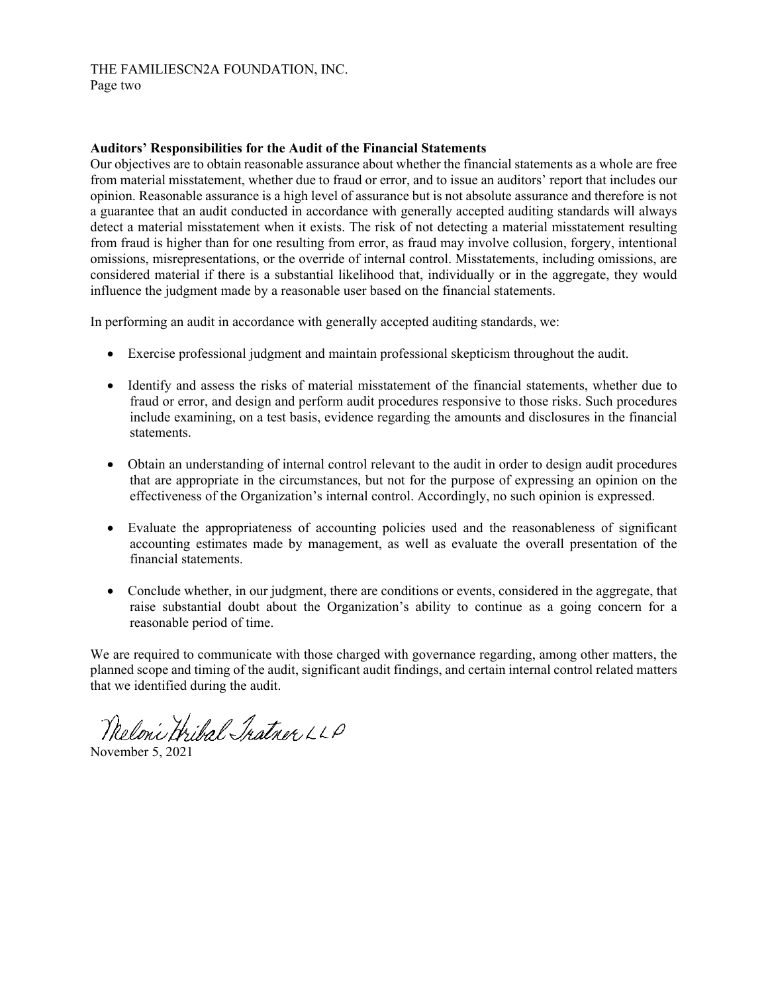## THE FAMILIESCN2A FOUNDATION, INC. Page two

#### **Auditors' Responsibilities for the Audit of the Financial Statements**

Our objectives are to obtain reasonable assurance about whether the financial statements as a whole are free from material misstatement, whether due to fraud or error, and to issue an auditors' report that includes our opinion. Reasonable assurance is a high level of assurance but is not absolute assurance and therefore is not a guarantee that an audit conducted in accordance with generally accepted auditing standards will always detect a material misstatement when it exists. The risk of not detecting a material misstatement resulting from fraud is higher than for one resulting from error, as fraud may involve collusion, forgery, intentional omissions, misrepresentations, or the override of internal control. Misstatements, including omissions, are considered material if there is a substantial likelihood that, individually or in the aggregate, they would influence the judgment made by a reasonable user based on the financial statements.

In performing an audit in accordance with generally accepted auditing standards, we:

- Exercise professional judgment and maintain professional skepticism throughout the audit.
- Identify and assess the risks of material misstatement of the financial statements, whether due to fraud or error, and design and perform audit procedures responsive to those risks. Such procedures include examining, on a test basis, evidence regarding the amounts and disclosures in the financial statements.
- Obtain an understanding of internal control relevant to the audit in order to design audit procedures that are appropriate in the circumstances, but not for the purpose of expressing an opinion on the effectiveness of the Organization's internal control. Accordingly, no such opinion is expressed.
- Evaluate the appropriateness of accounting policies used and the reasonableness of significant accounting estimates made by management, as well as evaluate the overall presentation of the financial statements.
- Conclude whether, in our judgment, there are conditions or events, considered in the aggregate, that raise substantial doubt about the Organization's ability to continue as a going concern for a reasonable period of time.

We are required to communicate with those charged with governance regarding, among other matters, the planned scope and timing of the audit, significant audit findings, and certain internal control related matters that we identified during the audit.

Neloni Wribal Inatner LLP

November 5, 2021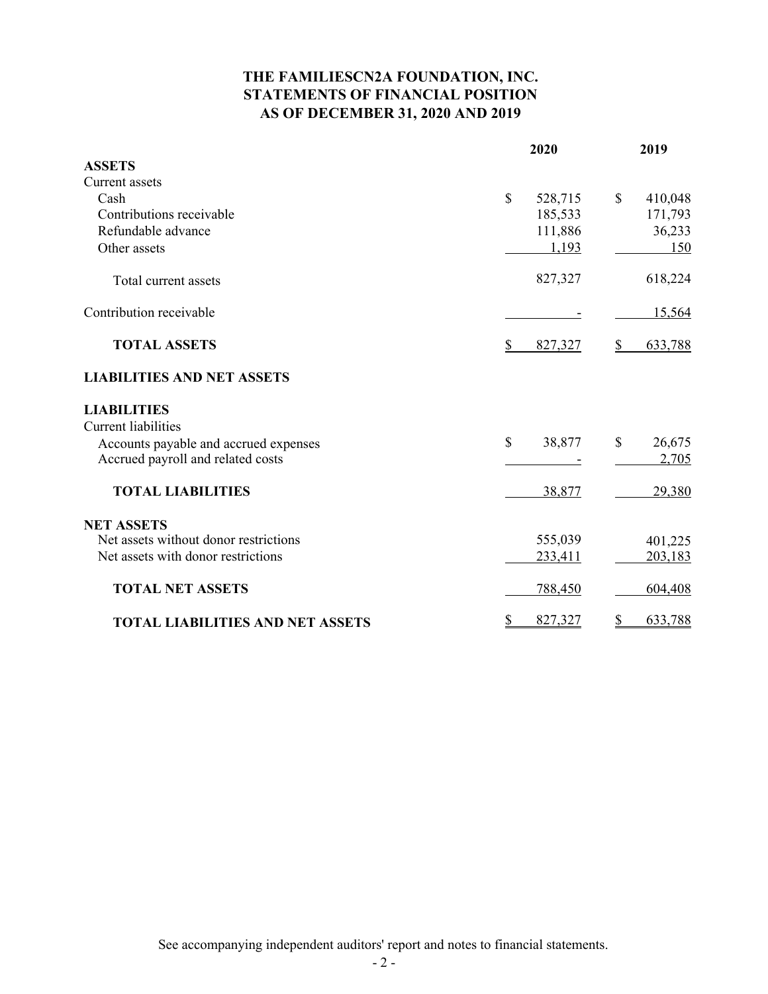# **THE FAMILIESCN2A FOUNDATION, INC. STATEMENTS OF FINANCIAL POSITION AS OF DECEMBER 31, 2020 AND 2019**

|                                         | 2020                   | 2019                                 |  |  |
|-----------------------------------------|------------------------|--------------------------------------|--|--|
| <b>ASSETS</b>                           |                        |                                      |  |  |
| Current assets                          |                        |                                      |  |  |
| Cash                                    | \$<br>528,715          | $\boldsymbol{\mathsf{S}}$<br>410,048 |  |  |
| Contributions receivable                | 185,533                | 171,793                              |  |  |
| Refundable advance                      | 111,886                | 36,233                               |  |  |
| Other assets                            | 1,193                  | 150                                  |  |  |
| Total current assets                    | 827,327                | 618,224                              |  |  |
| Contribution receivable                 |                        | 15,564                               |  |  |
| <b>TOTAL ASSETS</b>                     | \$<br>827,327          | $\frac{1}{2}$<br>633,788             |  |  |
| <b>LIABILITIES AND NET ASSETS</b>       |                        |                                      |  |  |
| <b>LIABILITIES</b>                      |                        |                                      |  |  |
| <b>Current liabilities</b>              |                        |                                      |  |  |
| Accounts payable and accrued expenses   | $\mathbb{S}$<br>38,877 | \$<br>26,675                         |  |  |
| Accrued payroll and related costs       |                        | 2,705                                |  |  |
| <b>TOTAL LIABILITIES</b>                | 38,877                 | 29,380                               |  |  |
| <b>NET ASSETS</b>                       |                        |                                      |  |  |
| Net assets without donor restrictions   | 555,039                | 401,225                              |  |  |
| Net assets with donor restrictions      | 233,411                | 203,183                              |  |  |
| <b>TOTAL NET ASSETS</b>                 | 788,450                | 604,408                              |  |  |
| <b>TOTAL LIABILITIES AND NET ASSETS</b> | \$<br>827,327          | 633,788<br>\$                        |  |  |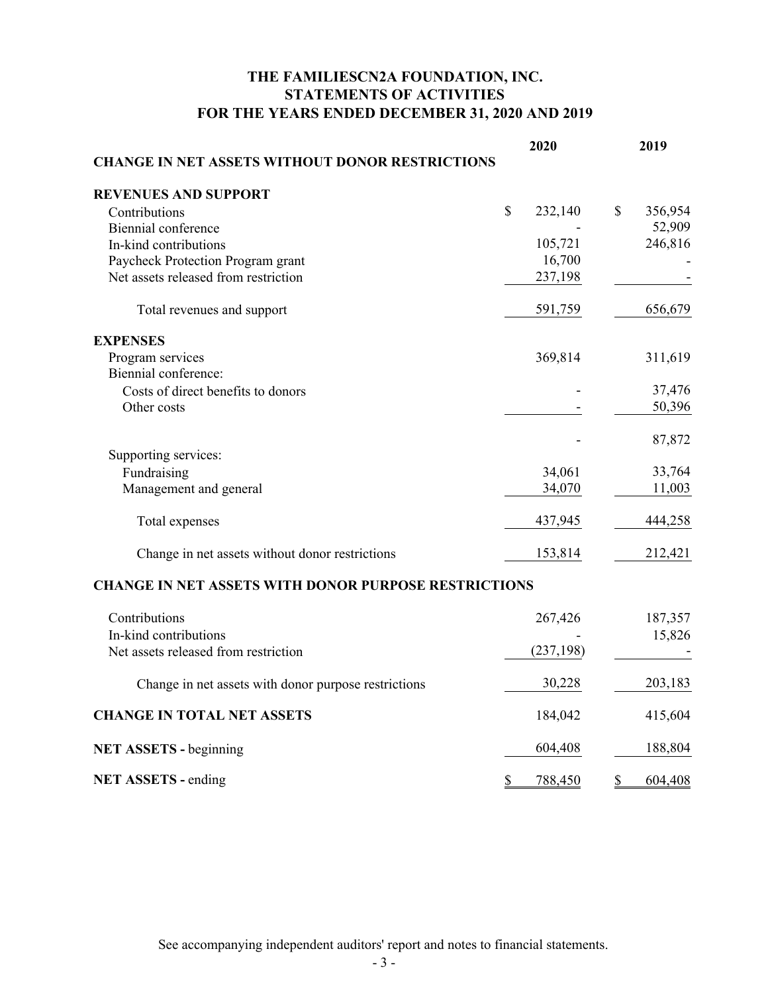## **THE FAMILIESCN2A FOUNDATION, INC. FOR THE YEARS ENDED DECEMBER 31, 2020 AND 2019 STATEMENTS OF ACTIVITIES**

|                                                             |              | 2020       | 2019          |
|-------------------------------------------------------------|--------------|------------|---------------|
| <b>CHANGE IN NET ASSETS WITHOUT DONOR RESTRICTIONS</b>      |              |            |               |
| <b>REVENUES AND SUPPORT</b>                                 |              |            |               |
| Contributions                                               | $\mathbb{S}$ | 232,140    | \$<br>356,954 |
| Biennial conference                                         |              |            | 52,909        |
| In-kind contributions                                       |              | 105,721    | 246,816       |
| Paycheck Protection Program grant                           |              | 16,700     |               |
| Net assets released from restriction                        |              | 237,198    |               |
| Total revenues and support                                  |              | 591,759    | 656,679       |
| <b>EXPENSES</b>                                             |              |            |               |
| Program services                                            |              | 369,814    | 311,619       |
| Biennial conference:                                        |              |            |               |
| Costs of direct benefits to donors                          |              |            | 37,476        |
| Other costs                                                 |              |            | 50,396        |
| Supporting services:                                        |              |            | 87,872        |
| Fundraising                                                 |              | 34,061     | 33,764        |
| Management and general                                      |              | 34,070     | 11,003        |
| Total expenses                                              |              | 437,945    | 444,258       |
| Change in net assets without donor restrictions             |              | 153,814    | 212,421       |
| <b>CHANGE IN NET ASSETS WITH DONOR PURPOSE RESTRICTIONS</b> |              |            |               |
| Contributions                                               |              | 267,426    | 187,357       |
| In-kind contributions                                       |              |            | 15,826        |
| Net assets released from restriction                        |              | (237, 198) |               |
| Change in net assets with donor purpose restrictions        |              | 30,228     | 203,183       |
| <b>CHANGE IN TOTAL NET ASSETS</b>                           |              | 184,042    | 415,604       |
| <b>NET ASSETS - beginning</b>                               |              | 604,408    | 188,804       |
| <b>NET ASSETS</b> - ending                                  | \$           | 788,450    | \$<br>604,408 |

See accompanying independent auditors' report and notes to financial statements.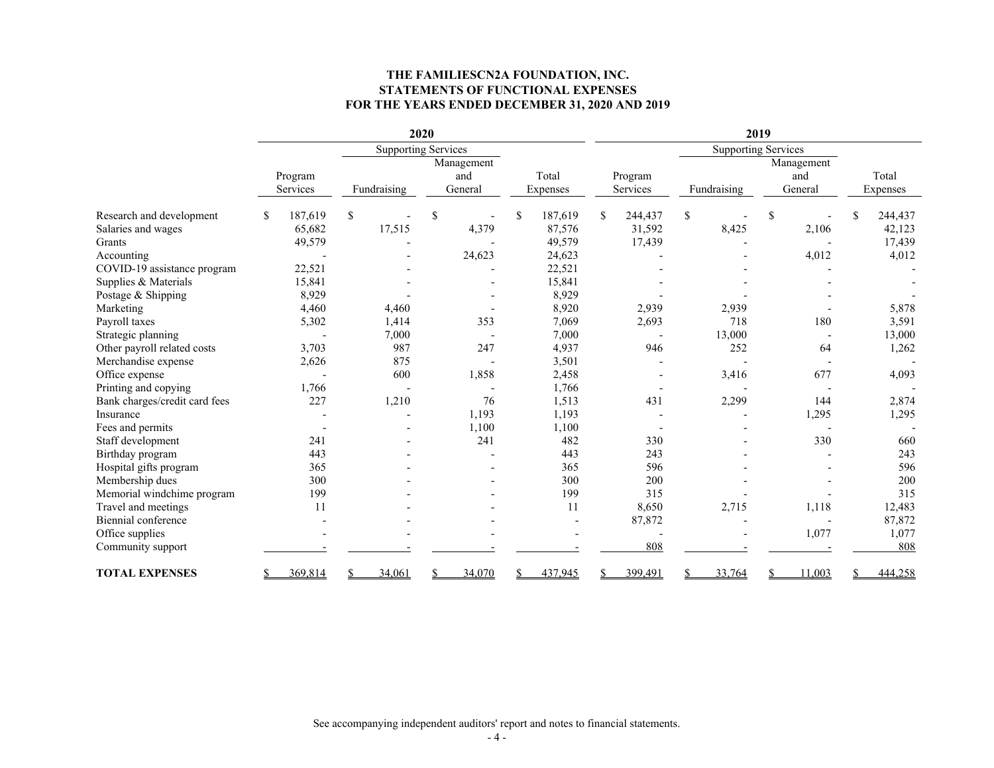#### **THE FAMILIESCN2A FOUNDATION, INC. STATEMENTS OF FUNCTIONAL EXPENSES FOR THE YEARS ENDED DECEMBER 31, 2020 AND 2019**

|                               | 2020                       |                     |             |               |                              | 2019              |  |                     |    |             |    |                              |   |                   |
|-------------------------------|----------------------------|---------------------|-------------|---------------|------------------------------|-------------------|--|---------------------|----|-------------|----|------------------------------|---|-------------------|
|                               | <b>Supporting Services</b> |                     |             |               | <b>Supporting Services</b>   |                   |  |                     |    |             |    |                              |   |                   |
|                               |                            | Program<br>Services | Fundraising |               | Management<br>and<br>General | Total<br>Expenses |  | Program<br>Services |    | Fundraising |    | Management<br>and<br>General |   | Total<br>Expenses |
| Research and development      | \$                         | 187,619             | \$          | <sup>\$</sup> |                              | \$<br>187,619     |  | 244,437             | \$ |             | \$ |                              | S | 244,437           |
| Salaries and wages            |                            | 65,682              | 17,515      |               | 4,379                        | 87,576            |  | 31,592              |    | 8,425       |    | 2,106                        |   | 42,123            |
| Grants                        |                            | 49,579              |             |               |                              | 49,579            |  | 17,439              |    |             |    |                              |   | 17,439            |
| Accounting                    |                            |                     |             |               | 24,623                       | 24,623            |  |                     |    |             |    | 4,012                        |   | 4,012             |
| COVID-19 assistance program   |                            | 22,521              |             |               |                              | 22,521            |  |                     |    |             |    |                              |   |                   |
| Supplies & Materials          |                            | 15,841              |             |               |                              | 15,841            |  |                     |    |             |    |                              |   |                   |
| Postage & Shipping            |                            | 8,929               |             |               |                              | 8,929             |  |                     |    |             |    |                              |   |                   |
| Marketing                     |                            | 4,460               | 4,460       |               |                              | 8,920             |  | 2,939               |    | 2,939       |    |                              |   | 5,878             |
| Payroll taxes                 |                            | 5,302               | 1,414       |               | 353                          | 7,069             |  | 2,693               |    | 718         |    | 180                          |   | 3,591             |
| Strategic planning            |                            |                     | 7,000       |               |                              | 7,000             |  |                     |    | 13,000      |    | $\overline{\phantom{a}}$     |   | 13,000            |
| Other payroll related costs   |                            | 3,703               | 987         |               | 247                          | 4,937             |  | 946                 |    | 252         |    | 64                           |   | 1,262             |
| Merchandise expense           |                            | 2,626               | 875         |               |                              | 3,501             |  |                     |    |             |    |                              |   |                   |
| Office expense                |                            |                     | 600         |               | 1,858                        | 2,458             |  |                     |    | 3,416       |    | 677                          |   | 4,093             |
| Printing and copying          |                            | 1,766               |             |               |                              | 1,766             |  |                     |    |             |    |                              |   |                   |
| Bank charges/credit card fees |                            | 227                 | 1,210       |               | 76                           | 1,513             |  | 431                 |    | 2,299       |    | 144                          |   | 2,874             |
| Insurance                     |                            |                     |             |               | 1,193                        | 1,193             |  |                     |    |             |    | 1,295                        |   | 1,295             |
| Fees and permits              |                            |                     |             |               | 1,100                        | 1,100             |  |                     |    |             |    |                              |   |                   |
| Staff development             |                            | 241                 |             |               | 241                          | 482               |  | 330                 |    |             |    | 330                          |   | 660               |
| Birthday program              |                            | 443                 |             |               |                              | 443               |  | 243                 |    |             |    |                              |   | 243               |
| Hospital gifts program        |                            | 365                 |             |               |                              | 365               |  | 596                 |    |             |    |                              |   | 596               |
| Membership dues               |                            | 300                 |             |               |                              | 300               |  | 200                 |    |             |    |                              |   | 200               |
| Memorial windchime program    |                            | 199                 |             |               |                              | 199               |  | 315                 |    |             |    |                              |   | 315               |
| Travel and meetings           |                            | 11                  |             |               |                              | 11                |  | 8,650               |    | 2,715       |    | 1,118                        |   | 12,483            |
| Biennial conference           |                            |                     |             |               |                              |                   |  | 87,872              |    |             |    |                              |   | 87,872            |
| Office supplies               |                            |                     |             |               |                              |                   |  |                     |    |             |    | 1,077                        |   | 1,077             |
| Community support             |                            |                     |             |               |                              |                   |  | 808                 |    |             |    |                              |   | 808               |
| <b>TOTAL EXPENSES</b>         |                            | 369.814             | 34.061      |               | 34.070                       | 437.945           |  | 399.491             |    | 33.764      |    | 11.003                       |   | 444,258           |

See accompanying independent auditors' report and notes to financial statements.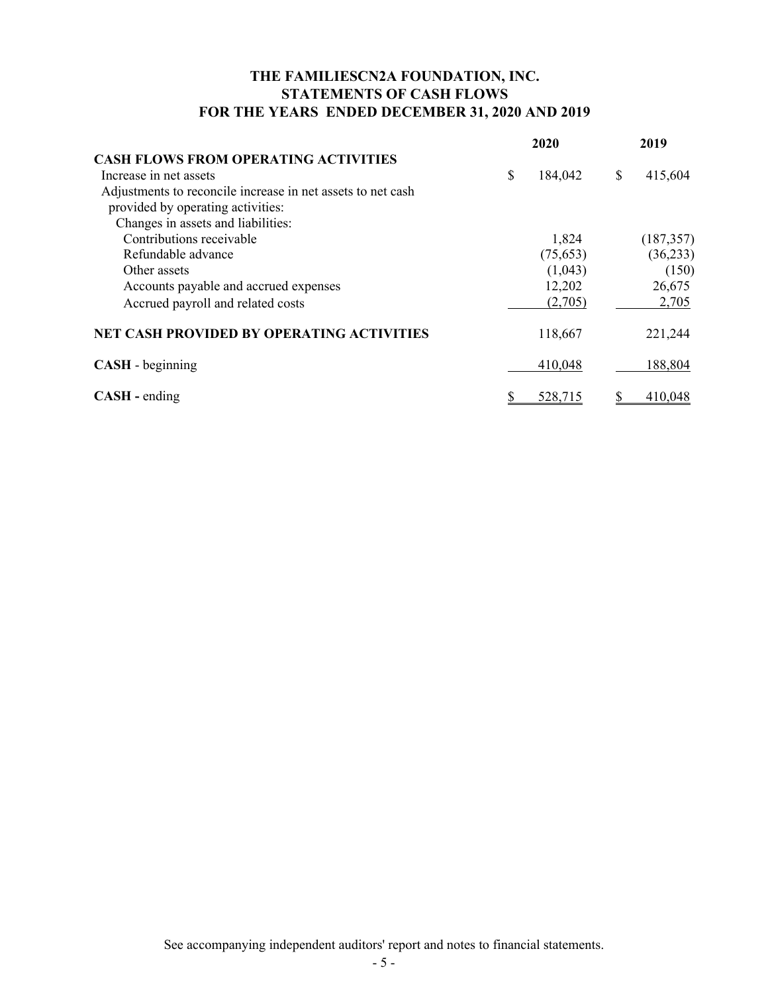# **THE FAMILIESCN2A FOUNDATION, INC. STATEMENTS OF CASH FLOWS FOR THE YEARS ENDED DECEMBER 31, 2020 AND 2019**

|                                                             |   | 2020      |              | 2019       |  |  |
|-------------------------------------------------------------|---|-----------|--------------|------------|--|--|
| <b>CASH FLOWS FROM OPERATING ACTIVITIES</b>                 |   |           |              |            |  |  |
| Increase in net assets                                      | S | 184,042   | $\mathbb{S}$ | 415,604    |  |  |
| Adjustments to reconcile increase in net assets to net cash |   |           |              |            |  |  |
| provided by operating activities:                           |   |           |              |            |  |  |
| Changes in assets and liabilities:                          |   |           |              |            |  |  |
| Contributions receivable                                    |   | 1,824     |              | (187, 357) |  |  |
| Refundable advance                                          |   | (75, 653) |              | (36, 233)  |  |  |
| Other assets                                                |   | (1,043)   |              | (150)      |  |  |
| Accounts payable and accrued expenses                       |   | 12,202    |              | 26,675     |  |  |
| Accrued payroll and related costs                           |   | (2,705)   |              | 2,705      |  |  |
| <b>NET CASH PROVIDED BY OPERATING ACTIVITIES</b>            |   | 118,667   |              | 221,244    |  |  |
| <b>CASH</b> - beginning                                     |   | 410,048   |              | 188,804    |  |  |
| <b>CASH</b> - ending                                        | S | 528,715   | S            | 410,048    |  |  |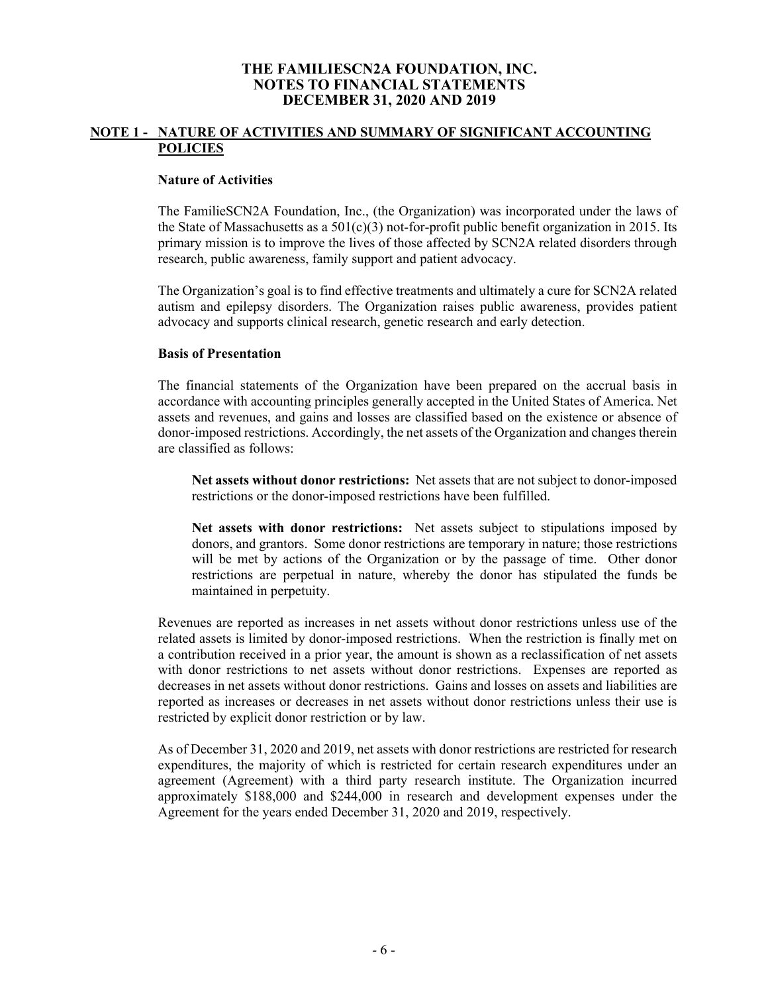## **NOTE 1 - NATURE OF ACTIVITIES AND SUMMARY OF SIGNIFICANT ACCOUNTING POLICIES**

#### **Nature of Activities**

The FamilieSCN2A Foundation, Inc., (the Organization) was incorporated under the laws of the State of Massachusetts as a  $501(c)(3)$  not-for-profit public benefit organization in 2015. Its primary mission is to improve the lives of those affected by SCN2A related disorders through research, public awareness, family support and patient advocacy.

The Organization's goal is to find effective treatments and ultimately a cure for SCN2A related autism and epilepsy disorders. The Organization raises public awareness, provides patient advocacy and supports clinical research, genetic research and early detection.

#### **Basis of Presentation**

The financial statements of the Organization have been prepared on the accrual basis in accordance with accounting principles generally accepted in the United States of America. Net assets and revenues, and gains and losses are classified based on the existence or absence of donor-imposed restrictions. Accordingly, the net assets of the Organization and changes therein are classified as follows:

**Net assets without donor restrictions:** Net assets that are not subject to donor-imposed restrictions or the donor-imposed restrictions have been fulfilled.

**Net assets with donor restrictions:** Net assets subject to stipulations imposed by donors, and grantors. Some donor restrictions are temporary in nature; those restrictions will be met by actions of the Organization or by the passage of time. Other donor restrictions are perpetual in nature, whereby the donor has stipulated the funds be maintained in perpetuity.

Revenues are reported as increases in net assets without donor restrictions unless use of the related assets is limited by donor-imposed restrictions. When the restriction is finally met on a contribution received in a prior year, the amount is shown as a reclassification of net assets with donor restrictions to net assets without donor restrictions. Expenses are reported as decreases in net assets without donor restrictions. Gains and losses on assets and liabilities are reported as increases or decreases in net assets without donor restrictions unless their use is restricted by explicit donor restriction or by law.

As of December 31, 2020 and 2019, net assets with donor restrictions are restricted for research expenditures, the majority of which is restricted for certain research expenditures under an agreement (Agreement) with a third party research institute. The Organization incurred approximately \$188,000 and \$244,000 in research and development expenses under the Agreement for the years ended December 31, 2020 and 2019, respectively.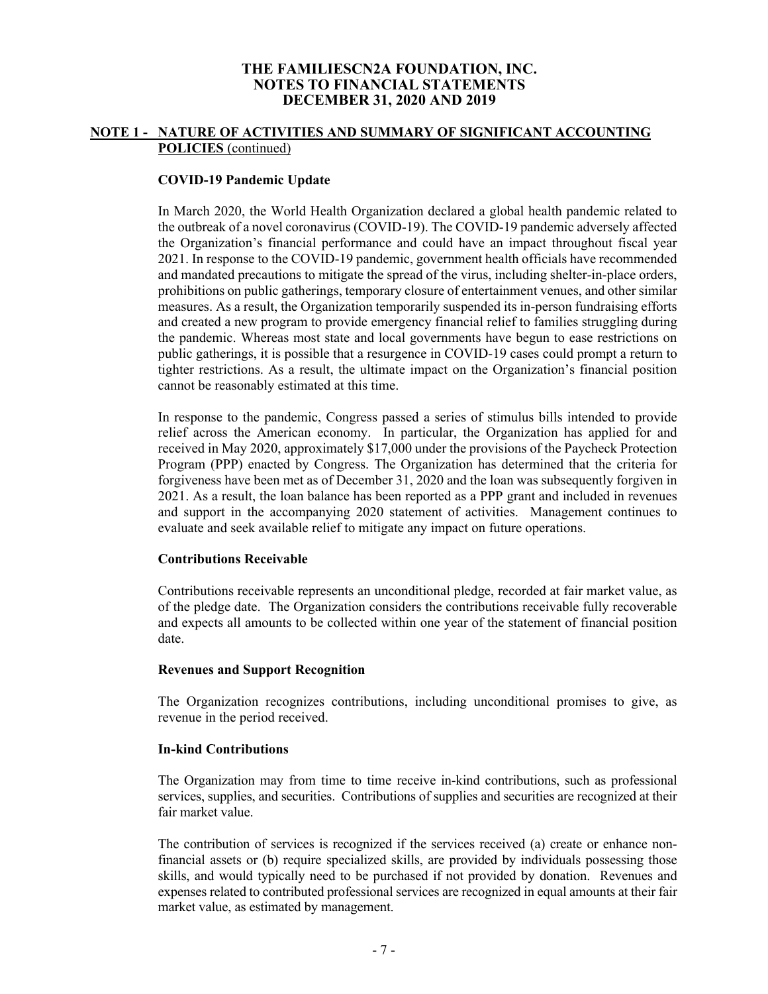### **NOTE 1 - NATURE OF ACTIVITIES AND SUMMARY OF SIGNIFICANT ACCOUNTING POLICIES** (continued)

### **COVID-19 Pandemic Update**

In March 2020, the World Health Organization declared a global health pandemic related to the outbreak of a novel coronavirus (COVID-19). The COVID-19 pandemic adversely affected the Organization's financial performance and could have an impact throughout fiscal year 2021. In response to the COVID-19 pandemic, government health officials have recommended and mandated precautions to mitigate the spread of the virus, including shelter-in-place orders, prohibitions on public gatherings, temporary closure of entertainment venues, and other similar measures. As a result, the Organization temporarily suspended its in-person fundraising efforts and created a new program to provide emergency financial relief to families struggling during the pandemic. Whereas most state and local governments have begun to ease restrictions on public gatherings, it is possible that a resurgence in COVID-19 cases could prompt a return to tighter restrictions. As a result, the ultimate impact on the Organization's financial position cannot be reasonably estimated at this time.

In response to the pandemic, Congress passed a series of stimulus bills intended to provide relief across the American economy. In particular, the Organization has applied for and received in May 2020, approximately \$17,000 under the provisions of the Paycheck Protection Program (PPP) enacted by Congress. The Organization has determined that the criteria for forgiveness have been met as of December 31, 2020 and the loan was subsequently forgiven in 2021. As a result, the loan balance has been reported as a PPP grant and included in revenues and support in the accompanying 2020 statement of activities. Management continues to evaluate and seek available relief to mitigate any impact on future operations.

### **Contributions Receivable**

Contributions receivable represents an unconditional pledge, recorded at fair market value, as of the pledge date. The Organization considers the contributions receivable fully recoverable and expects all amounts to be collected within one year of the statement of financial position date.

#### **Revenues and Support Recognition**

The Organization recognizes contributions, including unconditional promises to give, as revenue in the period received.

#### **In-kind Contributions**

The Organization may from time to time receive in-kind contributions, such as professional services, supplies, and securities. Contributions of supplies and securities are recognized at their fair market value.

The contribution of services is recognized if the services received (a) create or enhance nonfinancial assets or (b) require specialized skills, are provided by individuals possessing those skills, and would typically need to be purchased if not provided by donation. Revenues and expenses related to contributed professional services are recognized in equal amounts at their fair market value, as estimated by management.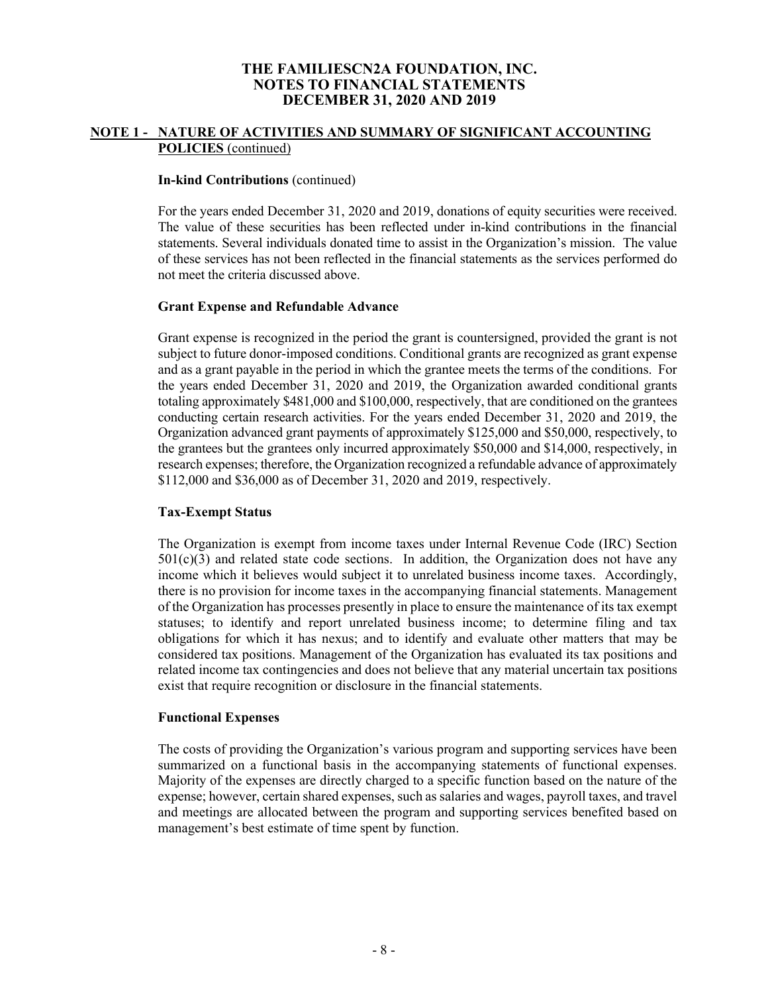### **NOTE 1 - NATURE OF ACTIVITIES AND SUMMARY OF SIGNIFICANT ACCOUNTING POLICIES** (continued)

#### **In-kind Contributions** (continued)

For the years ended December 31, 2020 and 2019, donations of equity securities were received. The value of these securities has been reflected under in-kind contributions in the financial statements. Several individuals donated time to assist in the Organization's mission. The value of these services has not been reflected in the financial statements as the services performed do not meet the criteria discussed above.

### **Grant Expense and Refundable Advance**

Grant expense is recognized in the period the grant is countersigned, provided the grant is not subject to future donor-imposed conditions. Conditional grants are recognized as grant expense and as a grant payable in the period in which the grantee meets the terms of the conditions. For the years ended December 31, 2020 and 2019, the Organization awarded conditional grants totaling approximately \$481,000 and \$100,000, respectively, that are conditioned on the grantees conducting certain research activities. For the years ended December 31, 2020 and 2019, the Organization advanced grant payments of approximately \$125,000 and \$50,000, respectively, to the grantees but the grantees only incurred approximately \$50,000 and \$14,000, respectively, in research expenses; therefore, the Organization recognized a refundable advance of approximately \$112,000 and \$36,000 as of December 31, 2020 and 2019, respectively.

### **Tax-Exempt Status**

The Organization is exempt from income taxes under Internal Revenue Code (IRC) Section  $501(c)(3)$  and related state code sections. In addition, the Organization does not have any income which it believes would subject it to unrelated business income taxes. Accordingly, there is no provision for income taxes in the accompanying financial statements. Management of the Organization has processes presently in place to ensure the maintenance of its tax exempt statuses; to identify and report unrelated business income; to determine filing and tax obligations for which it has nexus; and to identify and evaluate other matters that may be considered tax positions. Management of the Organization has evaluated its tax positions and related income tax contingencies and does not believe that any material uncertain tax positions exist that require recognition or disclosure in the financial statements.

### **Functional Expenses**

The costs of providing the Organization's various program and supporting services have been summarized on a functional basis in the accompanying statements of functional expenses. Majority of the expenses are directly charged to a specific function based on the nature of the expense; however, certain shared expenses, such as salaries and wages, payroll taxes, and travel and meetings are allocated between the program and supporting services benefited based on management's best estimate of time spent by function.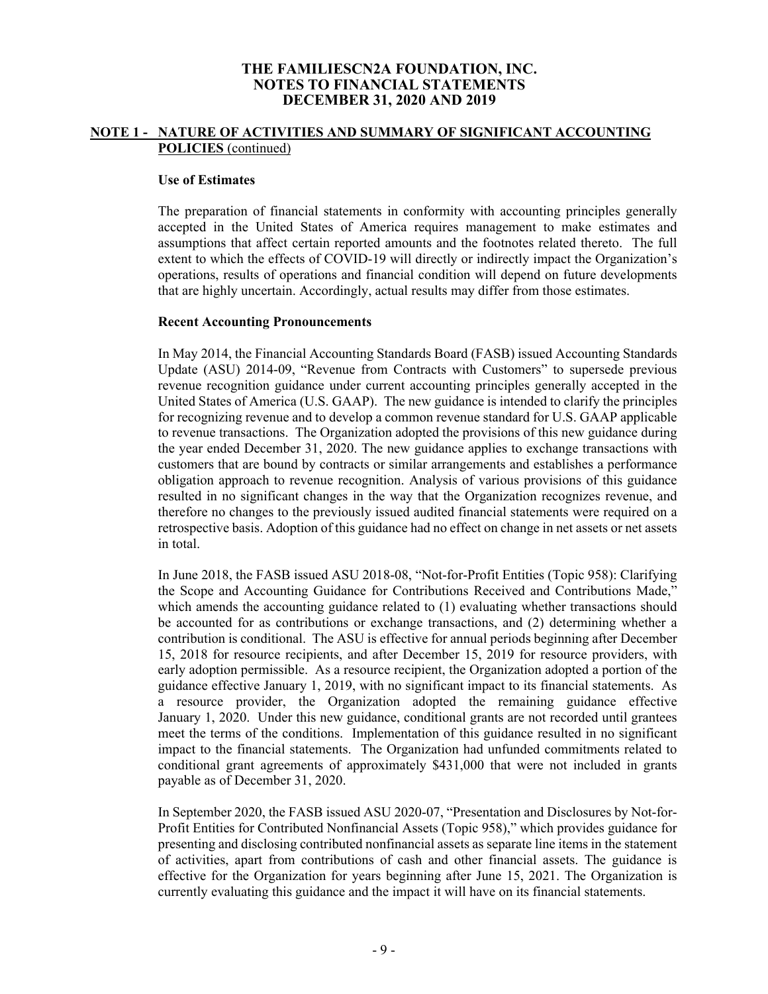### **NOTE 1 - NATURE OF ACTIVITIES AND SUMMARY OF SIGNIFICANT ACCOUNTING POLICIES** (continued)

#### **Use of Estimates**

The preparation of financial statements in conformity with accounting principles generally accepted in the United States of America requires management to make estimates and assumptions that affect certain reported amounts and the footnotes related thereto. The full extent to which the effects of COVID-19 will directly or indirectly impact the Organization's operations, results of operations and financial condition will depend on future developments that are highly uncertain. Accordingly, actual results may differ from those estimates.

#### **Recent Accounting Pronouncements**

In May 2014, the Financial Accounting Standards Board (FASB) issued Accounting Standards Update (ASU) 2014-09, "Revenue from Contracts with Customers" to supersede previous revenue recognition guidance under current accounting principles generally accepted in the United States of America (U.S. GAAP). The new guidance is intended to clarify the principles for recognizing revenue and to develop a common revenue standard for U.S. GAAP applicable to revenue transactions. The Organization adopted the provisions of this new guidance during the year ended December 31, 2020. The new guidance applies to exchange transactions with customers that are bound by contracts or similar arrangements and establishes a performance obligation approach to revenue recognition. Analysis of various provisions of this guidance resulted in no significant changes in the way that the Organization recognizes revenue, and therefore no changes to the previously issued audited financial statements were required on a retrospective basis. Adoption of this guidance had no effect on change in net assets or net assets in total.

In June 2018, the FASB issued ASU 2018-08, "Not-for-Profit Entities (Topic 958): Clarifying the Scope and Accounting Guidance for Contributions Received and Contributions Made," which amends the accounting guidance related to  $(1)$  evaluating whether transactions should be accounted for as contributions or exchange transactions, and (2) determining whether a contribution is conditional. The ASU is effective for annual periods beginning after December 15, 2018 for resource recipients, and after December 15, 2019 for resource providers, with early adoption permissible. As a resource recipient, the Organization adopted a portion of the guidance effective January 1, 2019, with no significant impact to its financial statements. As a resource provider, the Organization adopted the remaining guidance effective January 1, 2020. Under this new guidance, conditional grants are not recorded until grantees meet the terms of the conditions. Implementation of this guidance resulted in no significant impact to the financial statements. The Organization had unfunded commitments related to conditional grant agreements of approximately \$431,000 that were not included in grants payable as of December 31, 2020.

In September 2020, the FASB issued ASU 2020-07, "Presentation and Disclosures by Not-for-Profit Entities for Contributed Nonfinancial Assets (Topic 958)," which provides guidance for presenting and disclosing contributed nonfinancial assets as separate line items in the statement of activities, apart from contributions of cash and other financial assets. The guidance is effective for the Organization for years beginning after June 15, 2021. The Organization is currently evaluating this guidance and the impact it will have on its financial statements.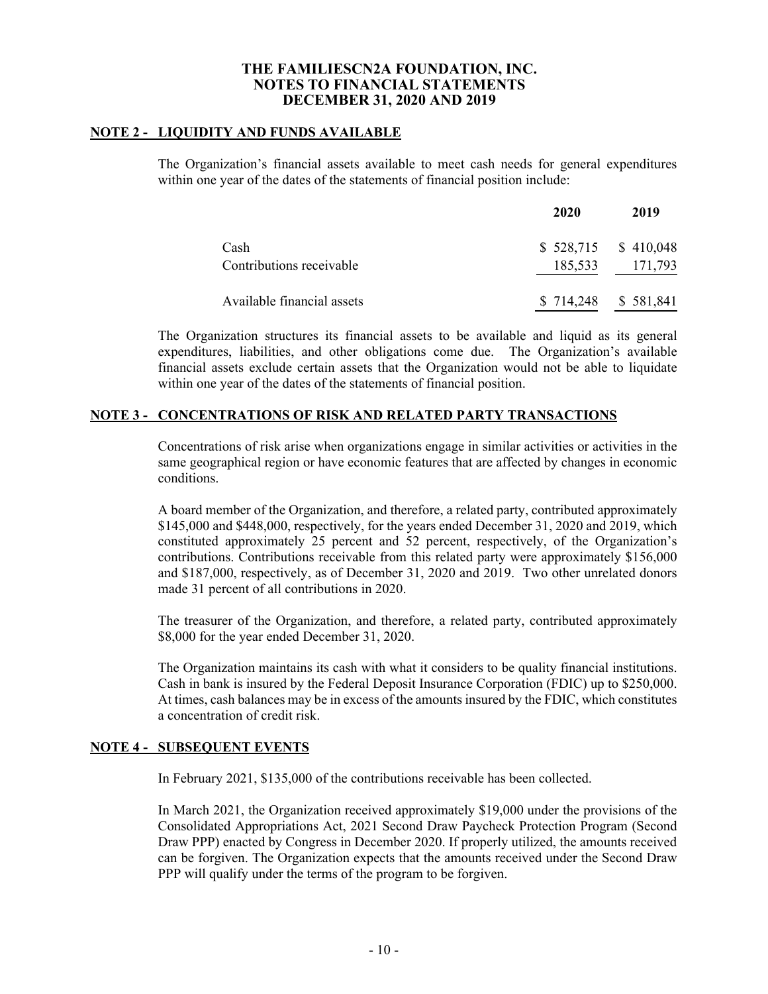### **NOTE 2 - LIQUIDITY AND FUNDS AVAILABLE**

The Organization's financial assets available to meet cash needs for general expenditures within one year of the dates of the statements of financial position include:

|                            | 2020    | 2019                  |
|----------------------------|---------|-----------------------|
| Cash                       |         | $$528,715$ $$410,048$ |
| Contributions receivable   | 185,533 | 171,793               |
| Available financial assets |         | $$714,248$ $$581,841$ |

The Organization structures its financial assets to be available and liquid as its general expenditures, liabilities, and other obligations come due. The Organization's available financial assets exclude certain assets that the Organization would not be able to liquidate within one year of the dates of the statements of financial position.

### **NOTE 3 - CONCENTRATIONS OF RISK AND RELATED PARTY TRANSACTIONS**

Concentrations of risk arise when organizations engage in similar activities or activities in the same geographical region or have economic features that are affected by changes in economic conditions.

A board member of the Organization, and therefore, a related party, contributed approximately \$145,000 and \$448,000, respectively, for the years ended December 31, 2020 and 2019, which constituted approximately 25 percent and 52 percent, respectively, of the Organization's contributions. Contributions receivable from this related party were approximately \$156,000 and \$187,000, respectively, as of December 31, 2020 and 2019. Two other unrelated donors made 31 percent of all contributions in 2020.

The treasurer of the Organization, and therefore, a related party, contributed approximately \$8,000 for the year ended December 31, 2020.

The Organization maintains its cash with what it considers to be quality financial institutions. Cash in bank is insured by the Federal Deposit Insurance Corporation (FDIC) up to \$250,000. At times, cash balances may be in excess of the amounts insured by the FDIC, which constitutes a concentration of credit risk.

### **NOTE 4 - SUBSEQUENT EVENTS**

In February 2021, \$135,000 of the contributions receivable has been collected.

In March 2021, the Organization received approximately \$19,000 under the provisions of the Consolidated Appropriations Act, 2021 Second Draw Paycheck Protection Program (Second Draw PPP) enacted by Congress in December 2020. If properly utilized, the amounts received can be forgiven. The Organization expects that the amounts received under the Second Draw PPP will qualify under the terms of the program to be forgiven.